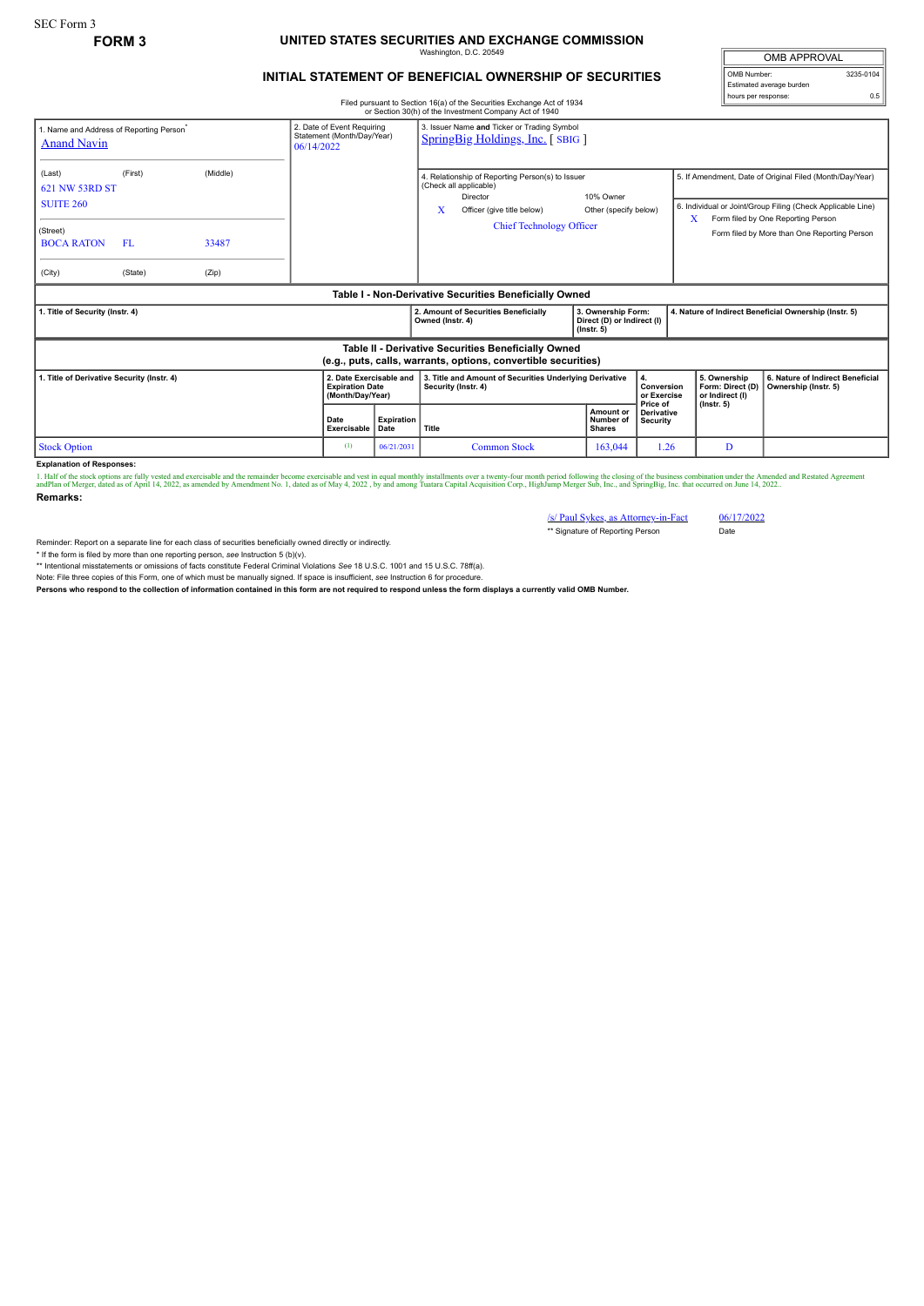## **FORM 3 UNITED STATES SECURITIES AND EXCHANGE COMMISSION** Washington, D.C. 20549

## **INITIAL STATEMENT OF BENEFICIAL OWNERSHIP OF SECURITIES**

OMB APPROVAL OMB Number: 3235-0104 Estimated average burden hours per response: 0.5

Filed pursuant to Section 16(a) of the Securities Exchange Act of 1934 or Section 30(h) of the Investment Company Act of 1940

|                                                                                                                       |                 |                   |                                                                        |                                                          | OF SECTION SOLUTION THE INVESTMENT COMPANY ACT OF 1940                                                                                                       |                                         |                                           |                                                       |                                                                                                                                                                                                               |
|-----------------------------------------------------------------------------------------------------------------------|-----------------|-------------------|------------------------------------------------------------------------|----------------------------------------------------------|--------------------------------------------------------------------------------------------------------------------------------------------------------------|-----------------------------------------|-------------------------------------------|-------------------------------------------------------|---------------------------------------------------------------------------------------------------------------------------------------------------------------------------------------------------------------|
| 1. Name and Address of Reporting Person <sup>®</sup><br><b>Anand Navin</b>                                            |                 |                   | 2. Date of Event Requiring<br>Statement (Month/Day/Year)<br>06/14/2022 |                                                          | 3. Issuer Name and Ticker or Trading Symbol<br>SpringBig Holdings, Inc. [SBIG]                                                                               |                                         |                                           |                                                       |                                                                                                                                                                                                               |
| (Last)<br>621 NW 53RD ST<br><b>SUITE 260</b><br>(Street)<br><b>BOCA RATON</b>                                         | (First)<br>- FL | (Middle)<br>33487 |                                                                        |                                                          | 4. Relationship of Reporting Person(s) to Issuer<br>(Check all applicable)<br>Director<br>x<br>Officer (give title below)<br><b>Chief Technology Officer</b> | 10% Owner<br>Other (specify below)      |                                           | X                                                     | 5. If Amendment, Date of Original Filed (Month/Day/Year)<br>6. Individual or Joint/Group Filing (Check Applicable Line)<br>Form filed by One Reporting Person<br>Form filed by More than One Reporting Person |
| (City)                                                                                                                | (State)         | (Zip)             |                                                                        |                                                          |                                                                                                                                                              |                                         |                                           |                                                       |                                                                                                                                                                                                               |
| Table I - Non-Derivative Securities Beneficially Owned                                                                |                 |                   |                                                                        |                                                          |                                                                                                                                                              |                                         |                                           |                                                       |                                                                                                                                                                                                               |
| 1. Title of Security (Instr. 4)                                                                                       |                 |                   |                                                                        | 2. Amount of Securities Beneficially<br>Owned (Instr. 4) | 3. Ownership Form:<br>Direct (D) or Indirect (I)<br>$($ lnstr. 5 $)$                                                                                         |                                         |                                           | 4. Nature of Indirect Beneficial Ownership (Instr. 5) |                                                                                                                                                                                                               |
| Table II - Derivative Securities Beneficially Owned<br>(e.g., puts, calls, warrants, options, convertible securities) |                 |                   |                                                                        |                                                          |                                                                                                                                                              |                                         |                                           |                                                       |                                                                                                                                                                                                               |
| . Title of Derivative Security (Instr. 4)                                                                             |                 |                   | 2. Date Exercisable and<br><b>Expiration Date</b><br>(Month/Day/Year)  |                                                          | 3. Title and Amount of Securities Underlying Derivative<br>Security (Instr. 4)                                                                               |                                         | 4.<br>Conversion<br>or Exercise           | 5. Ownership<br>Form: Direct (D)<br>or Indirect (I)   | 6. Nature of Indirect Beneficial<br>Ownership (Instr. 5)                                                                                                                                                      |
|                                                                                                                       |                 |                   | Date<br>Exercisable                                                    | <b>Expiration</b><br>Date                                | Title                                                                                                                                                        | Amount or<br>Number of<br><b>Shares</b> | Price of<br><b>Derivative</b><br>Security | $($ lnstr. 5 $)$                                      |                                                                                                                                                                                                               |
| <b>Stock Option</b>                                                                                                   |                 |                   | (1)                                                                    | 06/21/2031                                               | <b>Common Stock</b>                                                                                                                                          | 163,044                                 | 1.26                                      | D                                                     |                                                                                                                                                                                                               |

**Explanation of Responses:**

1. Half of the stock options are fully vested and exercisable and the remainder become exercisable and vest in equal monthly installments over a twenty-four month period following the closing of the business combination of **Remarks:**

/s/ Paul Sykes, as Attorney-in-Fact 06/17/2022 \*\* Signature of Reporting Person Date

Reminder: Report on a separate line for each class of securities beneficially owned directly or indirectly.

\* If the form is filed by more than one reporting person, *see* Instruction 5 (b)(v).

\*\* Intentional misstatements or omissions of facts constitute Federal Criminal Violations *See* 18 U.S.C. 1001 and 15 U.S.C. 78ff(a).

Note: File three copies of this Form, one of which must be manually signed. If space is insufficient, see Instruction 6 for procedure.<br>Persons who respond to the collection of information contained in this form are not req